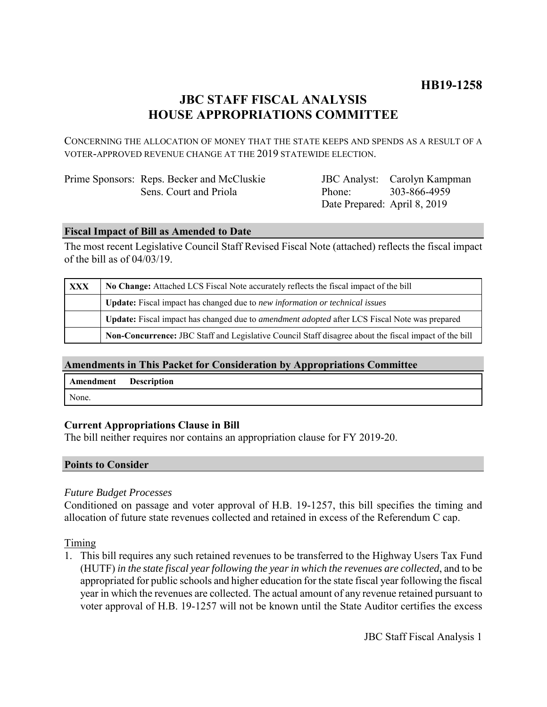# **JBC STAFF FISCAL ANALYSIS HOUSE APPROPRIATIONS COMMITTEE**

CONCERNING THE ALLOCATION OF MONEY THAT THE STATE KEEPS AND SPENDS AS A RESULT OF A VOTER-APPROVED REVENUE CHANGE AT THE 2019 STATEWIDE ELECTION.

| Prime Sponsors: Reps. Becker and McCluskie |
|--------------------------------------------|
| Sens. Court and Priola                     |

JBC Analyst: Carolyn Kampman Phone: Date Prepared: April 8, 2019 303-866-4959

# **Fiscal Impact of Bill as Amended to Date**

The most recent Legislative Council Staff Revised Fiscal Note (attached) reflects the fiscal impact of the bill as of 04/03/19.

| XXX | No Change: Attached LCS Fiscal Note accurately reflects the fiscal impact of the bill                        |  |
|-----|--------------------------------------------------------------------------------------------------------------|--|
|     | Update: Fiscal impact has changed due to new information or technical issues                                 |  |
|     | <b>Update:</b> Fiscal impact has changed due to <i>amendment adopted</i> after LCS Fiscal Note was prepared  |  |
|     | <b>Non-Concurrence:</b> JBC Staff and Legislative Council Staff disagree about the fiscal impact of the bill |  |

# **Amendments in This Packet for Consideration by Appropriations Committee**

| Amendment | <b>Description</b> |
|-----------|--------------------|
| None.     |                    |

# **Current Appropriations Clause in Bill**

The bill neither requires nor contains an appropriation clause for FY 2019-20.

### **Points to Consider**

### *Future Budget Processes*

Conditioned on passage and voter approval of H.B. 19-1257, this bill specifies the timing and allocation of future state revenues collected and retained in excess of the Referendum C cap.

Timing

1. This bill requires any such retained revenues to be transferred to the Highway Users Tax Fund (HUTF) *in the state fiscal year following the year in which the revenues are collected*, and to be appropriated for public schools and higher education for the state fiscal year following the fiscal year in which the revenues are collected. The actual amount of any revenue retained pursuant to voter approval of H.B. 19-1257 will not be known until the State Auditor certifies the excess